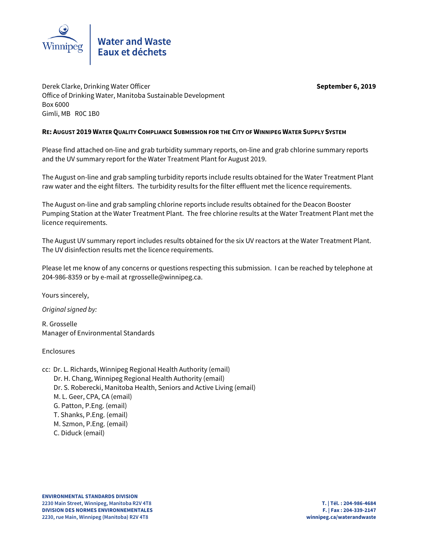

Derek Clarke, Drinking Water Officer **September 6, 2019** Office of Drinking Water, Manitoba Sustainable Development Box 6000 Gimli, MB R0C 1B0

## **RE: AUGUST 2019 WATER QUALITY COMPLIANCE SUBMISSION FOR THE CITY OF WINNIPEG WATER SUPPLY SYSTEM**

Please find attached on-line and grab turbidity summary reports, on-line and grab chlorine summary reports and the UV summary report for the Water Treatment Plant for August 2019.

The August on-line and grab sampling turbidity reports include results obtained for the Water Treatment Plant raw water and the eight filters. The turbidity results for the filter effluent met the licence requirements.

The August on-line and grab sampling chlorine reports include results obtained for the Deacon Booster Pumping Station at the Water Treatment Plant. The free chlorine results at the Water Treatment Plant met the licence requirements.

The August UV summary report includes results obtained for the six UV reactors at the Water Treatment Plant. The UV disinfection results met the licence requirements.

Please let me know of any concerns or questions respecting this submission. I can be reached by telephone at 204-986-8359 or by e-mail at rgrosselle@winnipeg.ca.

Yours sincerely,

Original signed by:

R. Grosselle Manager of Environmental Standards

Enclosures

cc: Dr. L. Richards, Winnipeg Regional Health Authority (email) Dr. H. Chang, Winnipeg Regional Health Authority (email) Dr. S. Roberecki, Manitoba Health, Seniors and Active Living (email) M. L. Geer, CPA, CA (email) G. Patton, P.Eng. (email) T. Shanks, P.Eng. (email) M. Szmon, P.Eng. (email) C. Diduck (email)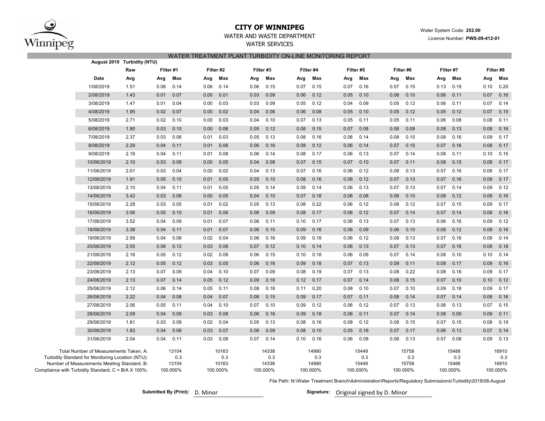

## **CITY OF WINNIPEG**

Water System Code: **252.00**

Licence Number: **PWS-09-412-01**

# WATER AND WASTE DEPARTMENT

WATER SERVICES

|                                                     |                                                                                             | August 2019 Turbidity (NTU) |      |              |      |              |           |              |      |              |      |              |      |              |      |              |      |              |
|-----------------------------------------------------|---------------------------------------------------------------------------------------------|-----------------------------|------|--------------|------|--------------|-----------|--------------|------|--------------|------|--------------|------|--------------|------|--------------|------|--------------|
|                                                     |                                                                                             | Raw                         |      | Filter #1    |      | Filter #2    | Filter #3 |              |      | Filter #4    |      | Filter #5    |      | Filter #6    |      | Filter #7    |      | Filter #8    |
|                                                     | Date                                                                                        | Avg                         | Avg  | Max          | Avg  | Max          | Avg       | Max          | Avg  | Max          | Avg  | Max          | Avg  | Max          | Avg  | Max          | Avg  | Max          |
|                                                     | 1/08/2019                                                                                   | 1.51                        | 0.06 | 0.14         | 0.06 | 0.14         | 0.06      | 0.15         | 0.07 | 0.15         | 0.07 | 0.16         | 0.07 | 0.15         | 0.13 | 0.19         | 0.10 | 0.20         |
|                                                     | 2/08/2019                                                                                   | 1.43                        | 0.01 | 0.07         | 0.00 | 0.01         | 0.03      | 0.09         | 0.06 | 0.12         | 0.05 | 0.10         | 0.06 | 0.10         | 0.06 | 0.11         | 0.07 | 0.16         |
|                                                     | 3/08/2019                                                                                   | 1.47                        | 0.01 | 0.04         | 0.00 | 0.03         | 0.03      | 0.09         | 0.05 | 0.12         | 0.04 | 0.09         | 0.05 | 0.12         | 0.06 | 0.11         | 0.07 | 0.14         |
|                                                     | 4/08/2019                                                                                   | 1.95                        | 0.02 | 0.07         | 0.00 | 0.02         | 0.04      | 0.06         | 0.06 | 0.08         | 0.05 | 0.10         | 0.05 | 0.12         | 0.05 | 0.12         | 0.07 | 0.15         |
|                                                     | 5/08/2019                                                                                   | 2.71                        | 0.02 | 0.10         | 0.00 | 0.03         | 0.04      | 0.10         | 0.07 | 0.13         | 0.05 | 0.11         | 0.05 | 0.11         | 0.06 | 0.08         | 0.08 | 0.11         |
|                                                     | 6/08/2019                                                                                   | 1.90                        | 0.03 | 0.10         | 0.00 | 0.06         | 0.05      | 0.12         | 0.08 | 0.15         | 0.07 | 0.08         | 0.06 | 0.08         | 0.08 | 0.13         | 0.08 | 0.16         |
|                                                     | 7/08/2019                                                                                   | 2.37                        | 0.03 | 0.06         | 0.01 | 0.03         | 0.05      | 0.13         | 0.08 | 0.16         | 0.06 | 0.14         | 0.08 | 0.15         | 0.08 | 0.16         | 0.09 | 0.17         |
|                                                     | 8/08/2019                                                                                   | 2.29                        | 0.04 | 0.11         | 0.01 | 0.06         | 0.06      | 0.16         | 0.08 | 0.12         | 0.06 | 0.14         | 0.07 | 0.15         | 0.07 | 0.16         | 0.08 | 0.17         |
|                                                     | 9/08/2019                                                                                   | 2.18                        | 0.04 | 0.11         | 0.01 | 0.08         | 0.06      | 0.14         | 0.08 | 0.17         | 0.06 | 0.13         | 0.07 | 0.14         | 0.08 | 0.11         | 0.10 | 0.15         |
|                                                     | 10/08/2019                                                                                  | 2.10                        | 0.03 | 0.09         | 0.00 | 0.05         | 0.04      | 0.08         | 0.07 | 0.15         | 0.07 | 0.10         | 0.07 | 0.11         | 0.08 | 0.15         | 0.08 | 0.17         |
|                                                     | 11/08/2019                                                                                  | 2.01                        | 0.03 | 0.04         | 0.00 | 0.02         | 0.04      | 0.13         | 0.07 | 0.16         | 0.06 | 0.12         | 0.08 | 0.13         | 0.07 | 0.16         | 0.08 | 0.17         |
|                                                     | 12/08/2019                                                                                  | 1.91                        | 0.05 | 0.10         | 0.01 | 0.05         | 0.05      | 0.10         | 0.08 | 0.16         | 0.06 | 0.12         | 0.07 | 0.13         | 0.07 | 0.16         | 0.08 | 0.17         |
|                                                     | 13/08/2019                                                                                  | 2.10                        | 0.04 | 0.11         | 0.01 | 0.05         | 0.05      | 0.14         | 0.09 | 0.14         | 0.06 | 0.13         | 0.07 | 0.13         | 0.07 | 0.14         | 0.09 | 0.12         |
|                                                     | 14/08/2019                                                                                  | 3.42                        | 0.03 | 0.06         | 0.00 | 0.05         | 0.04      | 0.10         | 0.07 | 0.18         | 0.06 | 0.08         | 0.06 | 0.10         | 0.08 | 0.12         | 0.08 | 0.16         |
|                                                     | 15/08/2019                                                                                  | 2.28                        | 0.03 | 0.05         | 0.01 | 0.02         | 0.05      | 0.13         | 0.08 | 0.22         | 0.06 | 0.12         | 0.08 | 0.12         | 0.07 | 0.15         | 0.09 | 0.17         |
|                                                     | 16/08/2019                                                                                  | 3.06                        | 0.05 | 0.10         | 0.01 | 0.06         | 0.06      | 0.09         | 0.08 | 0.17         | 0.06 | 0.12         | 0.07 | 0.14         | 0.07 | 0.14         | 0.08 | 0.16         |
|                                                     | 17/08/2019                                                                                  | 3.52                        | 0.04 | 0.09         | 0.01 | 0.07         | 0.06      | 0.11         | 0.10 | 0.17         | 0.06 | 0.13         | 0.07 | 0.13         | 0.06 | 0.16         | 0.09 | 0.12         |
|                                                     | 18/08/2019                                                                                  | 3.38                        | 0.04 | 0.11         | 0.01 | 0.07         | 0.06      | 0.15         | 0.09 | 0.16         | 0.06 | 0.09         | 0.06 | 0.10         | 0.08 | 0.12         | 0.08 | 0.16         |
|                                                     | 19/08/2019                                                                                  | 2.58                        | 0.04 | 0.06         | 0.02 | 0.04         | 0.06      | 0.16         | 0.09 | 0.18         | 0.06 | 0.12         | 0.08 | 0.13         | 0.07 | 0.16         | 0.08 | 0.14         |
|                                                     | 20/08/2019                                                                                  | 2.05                        | 0.06 | 0.12         | 0.03 | 0.08         | 0.07      | 0.12         | 0.10 | 0.14         | 0.06 | 0.13         | 0.07 | 0.13         | 0.07 | 0.16         | 0.08 | 0.16         |
|                                                     | 21/08/2019                                                                                  | 2.16                        | 0.05 | 0.12         | 0.02 | 0.08         | 0.06      | 0.15         | 0.10 | 0.18         | 0.06 | 0.09         | 0.07 | 0.14         | 0.08 | 0.10         | 0.10 | 0.14         |
|                                                     | 22/08/2019                                                                                  | 2.12                        | 0.05 | 0.12         | 0.03 | 0.05         | 0.06      | 0.16         | 0.09 | 0.18         | 0.07 | 0.13         | 0.09 | 0.11         | 0.08 | 0.17         | 0.09 | 0.16         |
|                                                     | 23/08/2019                                                                                  | 2.13                        | 0.07 | 0.09         | 0.04 | 0.10         | 0.07      | 0.09         | 0.08 | 0.19         | 0.07 | 0.13         | 0.08 | 0.22         | 0.08 | 0.16         | 0.09 | 0.17         |
|                                                     | 24/08/2019                                                                                  | 2.13                        | 0.07 | 0.14         | 0.05 | 0.12         | 0.09      | 0.16         | 0.12 | 0.17         | 0.07 | 0.14         | 0.08 | 0.15         | 0.07 | 0.10         | 0.10 | 0.12         |
|                                                     | 25/08/2019                                                                                  | 2.12                        | 0.06 | 0.14         | 0.05 | 0.11         | 0.08      | 0.18         | 0.11 | 0.20         | 0.08 | 0.10         | 0.07 | 0.10         | 0.09 | 0.18         | 0.09 | 0.17         |
|                                                     | 26/08/2019                                                                                  | 2.22                        | 0.04 | 0.08         | 0.04 | 0.07         | 0.06      | 0.15         | 0.09 | 0.17         | 0.07 | 0.11         | 0.08 | 0.14         | 0.07 | 0.14         | 0.08 | 0.16         |
|                                                     | 27/08/2019                                                                                  | 2.06                        | 0.05 | 0.11         | 0.04 | 0.10         | 0.07      | 0.10         | 0.09 | 0.12         | 0.06 | 0.12         | 0.07 | 0.13         | 0.06 | 0.13         | 0.07 | 0.15         |
|                                                     | 28/08/2019                                                                                  | 2.09                        | 0.04 | 0.09         | 0.03 | 0.08         | 0.06      | 0.16         | 0.09 | 0.18         | 0.06 | 0.11         | 0.07 | 0.14         | 0.08 | 0.09         | 0.09 | 0.11         |
|                                                     | 29/08/2019                                                                                  | 1.81                        | 0.03 | 0.09         | 0.02 | 0.04         | 0.05      | 0.13         | 0.08 | 0.16         | 0.08 | 0.12         | 0.08 | 0.15         | 0.07 | 0.15         | 0.08 | 0.19         |
|                                                     | 30/08/2019                                                                                  | 1.83                        | 0.04 | 0.06         | 0.03 | 0.07         | 0.06      | 0.09         | 0.08 | 0.10         | 0.05 | 0.16         | 0.07 | 0.17         | 0.06 | 0.13         | 0.07 | 0.14         |
|                                                     | 31/08/2019                                                                                  | 2.04                        | 0.04 | 0.11         | 0.03 | 0.08         | 0.07      | 0.14         | 0.10 | 0.16         | 0.06 | 0.08         | 0.06 | 0.13         | 0.07 | 0.08         | 0.09 | 0.13         |
|                                                     |                                                                                             |                             |      |              |      |              |           |              |      |              |      |              |      |              |      |              |      |              |
|                                                     | Total Number of Measurements Taken, A:<br>Turbidity Standard for Monitoring Location (NTU): |                             |      | 13104<br>0.3 |      | 10163<br>0.3 |           | 14338<br>0.3 |      | 14990<br>0.3 |      | 15449<br>0.3 |      | 15758<br>0.3 |      | 15488<br>0.3 |      | 16910<br>0.3 |
|                                                     | Number of Measurements Meeting Standard, B:                                                 |                             |      | 13104        |      | 10163        |           | 14338        |      | 14990        |      | 15449        |      | 15758        |      | 15488        |      | 16910        |
| Compliance with Turbidity Standard, C = B/A X 100%: |                                                                                             |                             |      | 100.000%     |      | 100.000%     |           | 100.000%     |      | 100.000%     |      | 100.000%     |      | 100.000%     |      | 100.000%     |      | 100.000%     |

File Path: N:\Water Treatment Branch\Administration\Reports\Regulatory Submissions\Turbidity\2019\08-August

Submitted By (Print): D. Minor **Signature:** Original signed by D. Minor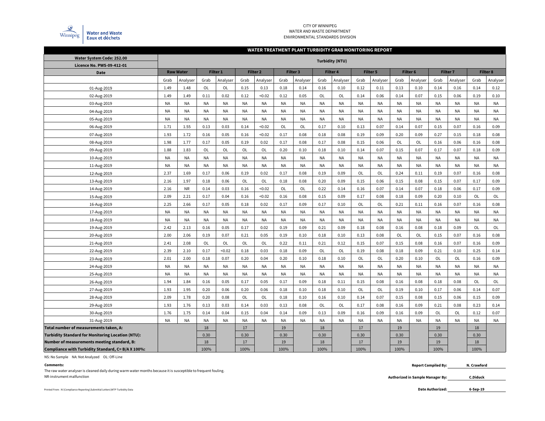

#### CITY OF WINNIPEG WATER AND WASTE DEPARTMENTENVIRONMENTAL STANDARDS DIVISION

#### **WATER TREATMENT PLANT TURBIDITY GRAB MONITORING REPORT**

| Water System Code: 252.00                                |           |                  |           |                     |           |                     |           |           | <b>Turbidity (NTU)</b> |           |           |           |           |                     |           |                 |           |                 |
|----------------------------------------------------------|-----------|------------------|-----------|---------------------|-----------|---------------------|-----------|-----------|------------------------|-----------|-----------|-----------|-----------|---------------------|-----------|-----------------|-----------|-----------------|
| Licence No. PWS-09-412-01                                |           |                  |           |                     |           |                     |           |           |                        |           |           |           |           |                     |           |                 |           |                 |
| <b>Date</b>                                              |           | <b>Raw Water</b> |           | Filter <sub>1</sub> |           | Filter <sub>2</sub> |           | Filter 3  | Filter 4               |           |           | Filter 5  |           | Filter <sub>6</sub> |           | <b>Filter 7</b> |           | <b>Filter 8</b> |
|                                                          | Grab      | Analyser         | Grab      | Analyser            | Grab      | Analyser            | Grab      | Analyser  | Grab                   | Analyser  | Grab      | Analyser  | Grab      | Analyser            | Grab      | Analyser        | Grab      | Analyser        |
| 01-Aug-2019                                              | 1.49      | 1.48             | OL        | OL                  | 0.15      | 0.13                | 0.18      | 0.14      | 0.16                   | 0.10      | 0.12      | 0.11      | 0.13      | 0.10                | 0.14      | 0.16            | 0.14      | 0.12            |
| 02-Aug-2019                                              | 1.49      | 1.49             | 0.11      | 0.02                | 0.12      | < 0.02              | 0.12      | 0.05      | OL                     | OL        | 0.14      | 0.06      | 0.14      | 0.07                | 0.15      | 0.06            | 0.19      | 0.10            |
| 03-Aug-2019                                              | <b>NA</b> | <b>NA</b>        | NA        | NA                  | <b>NA</b> | <b>NA</b>           | <b>NA</b> | <b>NA</b> | <b>NA</b>              | NA        | <b>NA</b> | NA        | ΝA        | <b>NA</b>           | <b>NA</b> | <b>NA</b>       | <b>NA</b> | <b>NA</b>       |
| 04-Aug-2019                                              | <b>NA</b> | <b>NA</b>        | <b>NA</b> | <b>NA</b>           | <b>NA</b> | <b>NA</b>           | <b>NA</b> | <b>NA</b> | <b>NA</b>              | <b>NA</b> | <b>NA</b> | NA        | NA        | <b>NA</b>           | <b>NA</b> | <b>NA</b>       | <b>NA</b> | <b>NA</b>       |
| 05-Aug-2019                                              | <b>NA</b> | <b>NA</b>        | <b>NA</b> | <b>NA</b>           | <b>NA</b> | <b>NA</b>           | <b>NA</b> | <b>NA</b> | <b>NA</b>              | <b>NA</b> | <b>NA</b> | <b>NA</b> | NA        | <b>NA</b>           | <b>NA</b> | <b>NA</b>       | <b>NA</b> | <b>NA</b>       |
| 06-Aug-2019                                              | 1.71      | 1.55             | 0.13      | 0.03                | 0.14      | < 0.02              | OL        | OL        | 0.17                   | 0.10      | 0.13      | 0.07      | 0.14      | 0.07                | 0.15      | 0.07            | 0.16      | 0.09            |
| 07-Aug-2019                                              | 1.93      | 1.72             | 0.16      | 0.05                | 0.16      | < 0.02              | 0.17      | 0.08      | 0.18                   | 0.08      | 0.19      | 0.09      | 0.20      | 0.09                | 0.27      | 0.15            | 0.18      | 0.08            |
| 08-Aug-2019                                              | 1.98      | 1.77             | 0.17      | 0.05                | 0.19      | 0.02                | 0.17      | 0.08      | 0.17                   | 0.08      | 0.15      | 0.06      | OL        | OL                  | 0.16      | 0.06            | 0.16      | 0.08            |
| 09-Aug-2019                                              | 1.88      | 1.83             | OL        | OL                  | OL        | OL                  | 0.20      | 0.10      | 0.18                   | 0.10      | 0.14      | 0.07      | 0.15      | 0.07                | 0.17      | 0.07            | 0.18      | 0.09            |
| 10-Aug-2019                                              | <b>NA</b> | <b>NA</b>        | NA        | <b>NA</b>           | <b>NA</b> | <b>NA</b>           | <b>NA</b> | <b>NA</b> | <b>NA</b>              | <b>NA</b> | <b>NA</b> | NA        | <b>NA</b> | <b>NA</b>           | <b>NA</b> | <b>NA</b>       | <b>NA</b> | <b>NA</b>       |
| 11-Aug-2019                                              | <b>NA</b> | <b>NA</b>        | NA        | <b>NA</b>           | <b>NA</b> | <b>NA</b>           | <b>NA</b> | <b>NA</b> | <b>NA</b>              | <b>NA</b> | <b>NA</b> | NA        | <b>NA</b> | <b>NA</b>           | <b>NA</b> | <b>NA</b>       | <b>NA</b> | <b>NA</b>       |
| 12-Aug-2019                                              | 2.37      | 1.69             | 0.17      | 0.06                | 0.19      | 0.02                | 0.17      | 0.08      | 0.19                   | 0.09      | <b>OL</b> | <b>OL</b> | 0.24      | 0.11                | 0.19      | 0.07            | 0.16      | 0.08            |
| 13-Aug-2019                                              | 2.16      | 1.97             | 0.18      | 0.06                | OL        | OL                  | 0.18      | 0.08      | 0.20                   | 0.09      | 0.15      | 0.06      | 0.15      | 0.08                | 0.15      | 0.07            | 0.17      | 0.09            |
| 14-Aug-2019                                              | 2.16      | <b>NR</b>        | 0.14      | 0.03                | 0.16      | < 0.02              | OL        | OL        | 0.22                   | 0.14      | 0.16      | 0.07      | 0.14      | 0.07                | 0.18      | 0.06            | 0.17      | 0.09            |
| 15-Aug-2019                                              | 2.09      | 2.21             | 0.17      | 0.04                | 0.16      | < 0.02              | 0.16      | 0.08      | 0.15                   | 0.09      | 0.17      | 0.08      | 0.18      | 0.09                | 0.20      | 0.10            | OL        | OL              |
| 16-Aug-2019                                              | 2.25      | 2.66             | 0.17      | 0.05                | 0.18      | 0.02                | 0.17      | 0.09      | 0.17                   | 0.10      | OL        | OL        | 0.21      | 0.11                | 0.16      | 0.07            | 0.16      | 0.08            |
| 17-Aug-2019                                              | <b>NA</b> | <b>NA</b>        | NA        | <b>NA</b>           | <b>NA</b> | <b>NA</b>           | <b>NA</b> | <b>NA</b> | <b>NA</b>              | NA        | <b>NA</b> | NA        | NA        | <b>NA</b>           | <b>NA</b> | <b>NA</b>       | <b>NA</b> | <b>NA</b>       |
| 18-Aug-2019                                              | <b>NA</b> | <b>NA</b>        | <b>NA</b> | <b>NA</b>           | <b>NA</b> | <b>NA</b>           | <b>NA</b> | <b>NA</b> | <b>NA</b>              | NA        | <b>NA</b> | NA        | NA        | <b>NA</b>           | <b>NA</b> | <b>NA</b>       | <b>NA</b> | NA              |
| 19-Aug-2019                                              | 2.42      | 2.13             | 0.16      | 0.05                | 0.17      | 0.02                | 0.19      | 0.09      | 0.21                   | 0.09      | 0.18      | 0.08      | 0.16      | 0.08                | 0.18      | 0.09            | OL        | OL              |
| 20-Aug-2019                                              | 2.00      | 2.06             | 0.19      | 0.07                | 0.21      | 0.05                | 0.19      | 0.10      | 0.18                   | 0.10      | 0.13      | 0.08      | OL        | <b>OL</b>           | 0.15      | 0.07            | 0.16      | 0.08            |
| 21-Aug-2019                                              | 2.41      | 2.08             | OL        | OL                  | OL        | OL                  | 0.22      | 0.11      | 0.21                   | 0.12      | 0.15      | 0.07      | 0.15      | 0.08                | 0.16      | 0.07            | 0.16      | 0.09            |
| 22-Aug-2019                                              | 2.39      | 2.10             | 0.17      | < 0.02              | 0.18      | 0.03                | 0.18      | 0.09      | <b>OL</b>              | OL        | 0.19      | 0.08      | 0.18      | 0.09                | 0.21      | 0.10            | 0.25      | 0.14            |
| 23-Aug-2019                                              | 2.01      | 2.00             | 0.18      | 0.07                | 0.20      | 0.04                | 0.20      | 0.10      | 0.18                   | 0.10      | OL        | OL        | 0.20      | 0.10                | <b>OL</b> | <b>OL</b>       | 0.16      | 0.09            |
| 24-Aug-2019                                              | <b>NA</b> | <b>NA</b>        | <b>NA</b> | <b>NA</b>           | <b>NA</b> | <b>NA</b>           | <b>NA</b> | <b>NA</b> | <b>NA</b>              | <b>NA</b> | <b>NA</b> | NA        | NA        | <b>NA</b>           | <b>NA</b> | <b>NA</b>       | <b>NA</b> | <b>NA</b>       |
| 25-Aug-2019                                              | <b>NA</b> | NA               | NA        | NA                  | <b>NA</b> | <b>NA</b>           | <b>NA</b> | <b>NA</b> | <b>NA</b>              | <b>NA</b> | <b>NA</b> | NA        | NA        | <b>NA</b>           | NA        | <b>NA</b>       | <b>NA</b> | <b>NA</b>       |
| 26-Aug-2019                                              | 1.94      | 1.84             | 0.16      | 0.05                | 0.17      | 0.05                | 0.17      | 0.09      | 0.18                   | 0.11      | 0.15      | 0.08      | 0.16      | 0.08                | 0.18      | 0.08            | OL        | OL              |
| 27-Aug-2019                                              | 1.93      | 1.95             | 0.20      | 0.06                | 0.20      | 0.06                | 0.18      | 0.10      | 0.18                   | 0.10      | OL        | OL        | 0.19      | 0.10                | 0.17      | 0.06            | 0.14      | 0.07            |
| 28-Aug-2019                                              | 2.09      | 1.78             | 0.20      | 0.08                | OL        | OL                  | 0.18      | 0.10      | 0.16                   | 0.10      | 0.14      | 0.07      | 0.15      | 0.08                | 0.15      | 0.06            | 0.15      | 0.09            |
| 29-Aug-2019                                              | 1.93      | 1.76             | 0.13      | 0.03                | 0.14      | 0.03                | 0.13      | 0.08      | OL                     | OL        | 0.17      | 0.08      | 0.16      | 0.09                | 0.21      | 0.08            | 0.23      | 0.14            |
| 30-Aug-2019                                              | 1.76      | 1.75             | 0.14      | 0.04                | 0.15      | 0.04                | 0.14      | 0.09      | 0.13                   | 0.09      | 0.16      | 0.09      | 0.16      | 0.09                | OL        | OL              | 0.12      | 0.07            |
| 31-Aug-2019                                              | <b>NA</b> | <b>NA</b>        | NA        | <b>NA</b>           | <b>NA</b> | <b>NA</b>           | <b>NA</b> | <b>NA</b> | <b>NA</b>              | <b>NA</b> | <b>NA</b> | NA        | <b>NA</b> | <b>NA</b>           | <b>NA</b> | <b>NA</b>       | <b>NA</b> | <b>NA</b>       |
| Total number of measurements taken, A:                   |           |                  | 18        |                     | 17        |                     | 19        |           | 18                     |           | 17        |           | 19        |                     | 19        |                 | 18        |                 |
| <b>Turbidity Standard for Monitoring Location (NTU):</b> |           |                  | 0.30      |                     | 0.30      |                     | 0.30      |           | 0.30                   |           | 0.30      |           | 0.30      |                     | 0.30      |                 | 0.30      |                 |
| Number of measurements meeting standard, B:              |           |                  | 18        |                     | 17        |                     | 19        |           | 18                     |           | 17        |           | 19        |                     | 19        |                 | 18        |                 |
| Compliance with Turbidity Standard, C= B/A X 100%:       |           |                  | 100%      |                     | 100%      |                     | 100%      |           | 100%                   |           | 100%      |           | 100%      |                     | 100%      |                 | 100%      |                 |

NS: No Sample NA: Not Analyzed OL: Off-Line

#### **Comments:**

**Authorized in Sample Manager By: C.Diduck**The raw water analyser is cleaned daily during warm water months because it is susceptible to frequent fouling. NR-instrument malfunction

 **Report Compiled By: N. Crawford**

Printed From : N:\Compliance Reporting\Submittal Letters\WTP Turbidity Data **Date Authorized:** 

**6-Sep-19**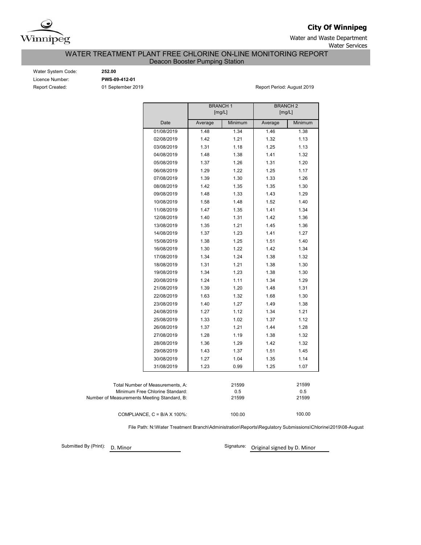

**City Of Winnipeg**

Water and Waste Department Water Services

WATER TREATMENT PLANT FREE CHLORINE ON-LINE MONITORING REPORT

Deacon Booster Pumping Station

Water System Code: **252.00** Licence Number: **PWS-09-412-01**

Report Created: 01 September 2019 Report Period: August 2019

|                                             |            | <b>BRANCH1</b> | [mg/L]  | <b>BRANCH2</b><br>[mg/L] |         |
|---------------------------------------------|------------|----------------|---------|--------------------------|---------|
|                                             | Date       | Average        | Minimum | Average                  | Minimum |
|                                             | 01/08/2019 | 1.48           | 1.34    | 1.46                     | 1.38    |
|                                             | 02/08/2019 | 1.42           | 1.21    | 1.32                     | 1.13    |
|                                             | 03/08/2019 | 1.31           | 1.18    | 1.25                     | 1.13    |
|                                             | 04/08/2019 | 1.48           | 1.38    | 1.41                     | 1.32    |
|                                             | 05/08/2019 | 1.37           | 1.26    | 1.31                     | 1.20    |
|                                             | 06/08/2019 | 1.29           | 1.22    | 1.25                     | 1.17    |
|                                             | 07/08/2019 | 1.39           | 1.30    | 1.33                     | 1.26    |
|                                             | 08/08/2019 | 1.42           | 1.35    | 1.35                     | 1.30    |
|                                             | 09/08/2019 | 1.48           | 1.33    | 1.43                     | 1.29    |
|                                             | 10/08/2019 | 1.58           | 1.48    | 1.52                     | 1.40    |
|                                             | 11/08/2019 | 1.47           | 1.35    | 1.41                     | 1.34    |
|                                             | 12/08/2019 | 1.40           | 1.31    | 1.42                     | 1.36    |
|                                             | 13/08/2019 | 1.35           | 1.21    | 1.45                     | 1.36    |
|                                             | 14/08/2019 | 1.37           | 1.23    | 1.41                     | 1.27    |
|                                             | 15/08/2019 | 1.38           | 1.25    | 1.51                     | 1.40    |
|                                             | 16/08/2019 | 1.30           | 1.22    | 1.42                     | 1.34    |
|                                             | 17/08/2019 | 1.34           | 1.24    | 1.38                     | 1.32    |
|                                             | 18/08/2019 | 1.31           | 1.21    | 1.38                     | 1.30    |
|                                             | 19/08/2019 | 1.34           | 1.23    | 1.38                     | 1.30    |
|                                             | 20/08/2019 | 1.24           | 1.11    | 1.34                     | 1.29    |
|                                             | 21/08/2019 | 1.39           | 1.20    | 1.48                     | 1.31    |
|                                             | 22/08/2019 | 1.63           | 1.32    | 1.68                     | 1.30    |
|                                             | 23/08/2019 | 1.40           | 1.27    | 1.49                     | 1.38    |
|                                             | 24/08/2019 | 1.27           | 1.12    | 1.34                     | 1.21    |
|                                             | 25/08/2019 | 1.33           | 1.02    | 1.37                     | 1.12    |
|                                             | 26/08/2019 | 1.37           | 1.21    | 1.44                     | 1.28    |
|                                             | 27/08/2019 | 1.28           | 1.19    | 1.38                     | 1.32    |
|                                             | 28/08/2019 | 1.36           | 1.29    | 1.42                     | 1.32    |
|                                             | 29/08/2019 | 1.43           | 1.37    | 1.51                     | 1.45    |
|                                             | 30/08/2019 | 1.27           | 1.04    | 1.35                     | 1.14    |
|                                             | 31/08/2019 | 1.23           | 0.99    | 1.25                     | 1.07    |
|                                             |            |                |         |                          |         |
| Total Number of Measurements, A:            |            |                | 21599   |                          | 21599   |
| Minimum Free Chlorine Standard:             |            |                | 0.5     |                          | 0.5     |
| Number of Measurements Meeting Standard, B: |            |                | 21599   |                          | 21599   |
| COMPLIANCE, $C = B/A \times 100\%$ :        |            |                | 100.00  |                          | 100.00  |

File Path: N:\Water Treatment Branch\Administration\Reports\Regulatory Submissions\Chlorine\2019\08-August

Submitted By (Print): D. Minor

Signature: Original signed by D. Minor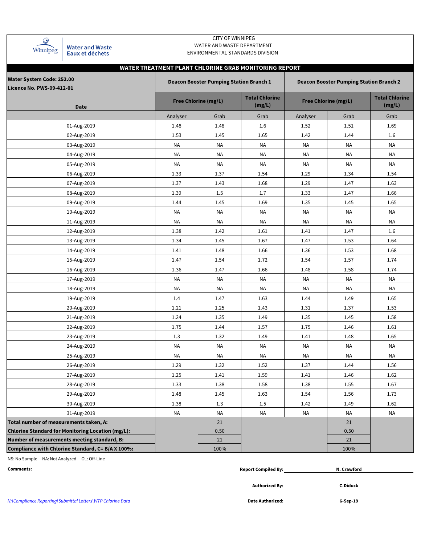| Winnipeg |  |
|----------|--|

**Water and Waste** Eaux et déchets

### CITY OF WINNIPEG WATER AND WASTE DEPARTMENT ENVIRONMENTAL STANDARDS DIVISION

# **WATER TREATMENT PLANT CHLORINE GRAB MONITORING REPORT**

| <b>Water System Code: 252.00</b><br><b>Licence No. PWS-09-412-01</b> |           | <b>Deacon Booster Pumping Station Branch 1</b> |                                 |           | <b>Deacon Booster Pumping Station Branch 2</b> |                                 |
|----------------------------------------------------------------------|-----------|------------------------------------------------|---------------------------------|-----------|------------------------------------------------|---------------------------------|
| <b>Date</b>                                                          |           | <b>Free Chlorine (mg/L)</b>                    | <b>Total Chlorine</b><br>(mg/L) |           | <b>Free Chlorine (mg/L)</b>                    | <b>Total Chlorine</b><br>(mg/L) |
|                                                                      | Analyser  | Grab                                           | Grab                            | Analyser  | Grab                                           | Grab                            |
| 01-Aug-2019                                                          | 1.48      | 1.48                                           | 1.6                             | 1.52      | 1.51                                           | 1.69                            |
| 02-Aug-2019                                                          | 1.53      | 1.45                                           | 1.65                            | 1.42      | 1.44                                           | 1.6                             |
| 03-Aug-2019                                                          | <b>NA</b> | <b>NA</b>                                      | <b>NA</b>                       | NA        | NA                                             | <b>NA</b>                       |
| 04-Aug-2019                                                          | ΝA        | NA                                             | ΝA                              | NA        | ΝA                                             | ΝA                              |
| 05-Aug-2019                                                          | <b>NA</b> | <b>NA</b>                                      | ΝA                              | NA        | <b>NA</b>                                      | NA                              |
| 06-Aug-2019                                                          | 1.33      | 1.37                                           | 1.54                            | 1.29      | 1.34                                           | 1.54                            |
| 07-Aug-2019                                                          | 1.37      | 1.43                                           | 1.68                            | 1.29      | 1.47                                           | 1.63                            |
| 08-Aug-2019                                                          | 1.39      | 1.5                                            | 1.7                             | 1.33      | 1.47                                           | 1.66                            |
| 09-Aug-2019                                                          | 1.44      | 1.45                                           | 1.69                            | 1.35      | 1.45                                           | 1.65                            |
| 10-Aug-2019                                                          | NA        | NA                                             | NA                              | NA        | NA                                             | <b>NA</b>                       |
| 11-Aug-2019                                                          | NA        | <b>NA</b>                                      | NA                              | <b>NA</b> | <b>NA</b>                                      | <b>NA</b>                       |
| 12-Aug-2019                                                          | 1.38      | 1.42                                           | 1.61                            | 1.41      | 1.47                                           | 1.6                             |
| 13-Aug-2019                                                          | 1.34      | 1.45                                           | 1.67                            | 1.47      | 1.53                                           | 1.64                            |
| 14-Aug-2019                                                          | 1.41      | 1.48                                           | 1.66                            | 1.36      | 1.53                                           | 1.68                            |
| 15-Aug-2019                                                          | 1.47      | 1.54                                           | 1.72                            | 1.54      | 1.57                                           | 1.74                            |
| 16-Aug-2019                                                          | 1.36      | 1.47                                           | 1.66                            | 1.48      | 1.58                                           | 1.74                            |
| 17-Aug-2019                                                          | <b>NA</b> | <b>NA</b>                                      | <b>NA</b>                       | NA        | <b>NA</b>                                      | <b>NA</b>                       |
| 18-Aug-2019                                                          | ΝA        | ΝA                                             | ΝA                              | ΝA        | ΝA                                             | <b>NA</b>                       |
| 19-Aug-2019                                                          | 1.4       | 1.47                                           | 1.63                            | 1.44      | 1.49                                           | 1.65                            |
| 20-Aug-2019                                                          | 1.21      | 1.25                                           | 1.43                            | 1.31      | 1.37                                           | 1.53                            |
| 21-Aug-2019                                                          | 1.24      | 1.35                                           | 1.49                            | 1.35      | 1.45                                           | 1.58                            |
| 22-Aug-2019                                                          | 1.75      | 1.44                                           | 1.57                            | 1.75      | 1.46                                           | 1.61                            |
| 23-Aug-2019                                                          | 1.3       | 1.32                                           | 1.49                            | 1.41      | 1.48                                           | 1.65                            |
| 24-Aug-2019                                                          | NA        | NA                                             | NA                              | NA        | <b>NA</b>                                      | NA                              |
| 25-Aug-2019                                                          | NA        | NA                                             | ΝA                              | NA        | NA                                             | <b>NA</b>                       |
| 26-Aug-2019                                                          | 1.29      | 1.32                                           | 1.52                            | 1.37      | 1.44                                           | 1.56                            |
| 27-Aug-2019                                                          | 1.25      | 1.41                                           | 1.59                            | 1.41      | 1.46                                           | 1.62                            |
| 28-Aug-2019                                                          | 1.33      | 1.38                                           | 1.58                            | 1.38      | 1.55                                           | 1.67                            |
| 29-Aug-2019                                                          | 1.48      | 1.45                                           | 1.63                            | 1.54      | 1.56                                           | 1.73                            |
| 30-Aug-2019                                                          | 1.38      | 1.3                                            | 1.5                             | 1.42      | 1.49                                           | 1.62                            |
| 31-Aug-2019                                                          | <b>NA</b> | <b>NA</b>                                      | <b>NA</b>                       | <b>NA</b> | <b>NA</b>                                      | <b>NA</b>                       |
| Total number of measurements taken, A:                               |           | 21                                             |                                 |           | 21                                             |                                 |
| <b>Chlorine Standard for Monitoring Location (mg/L):</b>             |           | 0.50                                           |                                 |           | 0.50                                           |                                 |
| Number of measurements meeting standard, B:                          |           | 21                                             |                                 |           | 21                                             |                                 |
| Compliance with Chlorine Standard, C= B/A X 100%:                    |           | 100%                                           |                                 |           | 100%                                           |                                 |

NS: No Sample NA: Not Analyzed OL: Off-Line

| Comments: | <b>Report Compiled By:</b> | Crawford |
|-----------|----------------------------|----------|
|           |                            |          |

**Authorized By:**

**C.Diduck**

**6-Sep-19**